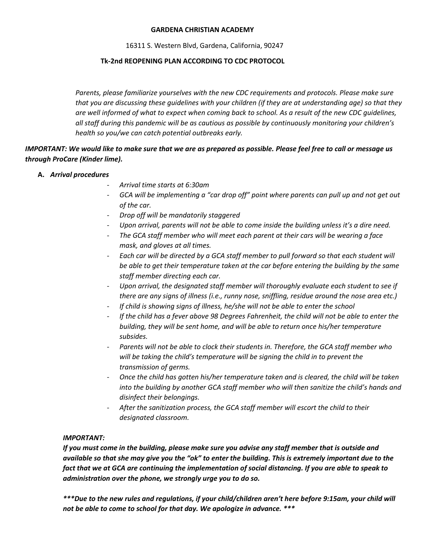#### **GARDENA CHRISTIAN ACADEMY**

16311 S. Western Blvd, Gardena, California, 90247

#### **Tk-2nd REOPENING PLAN ACCORDING TO CDC PROTOCOL**

*Parents, please familiarize yourselves with the new CDC requirements and protocols. Please make sure that you are discussing these guidelines with your children (if they are at understanding age) so that they are well informed of what to expect when coming back to school. As a result of the new CDC guidelines, all staff during this pandemic will be as cautious as possible by continuously monitoring your children's health so you/we can catch potential outbreaks early.*

# *IMPORTANT: We would like to make sure that we are as prepared as possible. Please feel free to call or message us through ProCare (Kinder lime).*

## **A.** *Arrival procedures*

- *Arrival time starts at 6:30am*
- GCA will be implementing a "car drop off" point where parents can pull up and not get out *of the car.*
- *Drop off will be mandatorily staggered*
- *Upon arrival, parents will not be able to come inside the building unless it's a dire need.*
- *The GCA staff member who will meet each parent at their cars will be wearing a face mask, and gloves at all times.*
- *Each car will be directed by a GCA staff member to pull forward so that each student will be able to get their temperature taken at the car before entering the building by the same staff member directing each car.*
- *Upon arrival, the designated staff member will thoroughly evaluate each student to see if there are any signs of illness (i.e., runny nose, sniffling, residue around the nose area etc.)*
- *If child is showing signs of illness, he/she will not be able to enter the school*
- *If the child has a fever above 98 Degrees Fahrenheit, the child will not be able to enter the building, they will be sent home, and will be able to return once his/her temperature subsides.*
- Parents will not be able to clock their students in. Therefore, the GCA staff member who *will be taking the child's temperature will be signing the child in to prevent the transmission of germs.*
- *Once the child has gotten his/her temperature taken and is cleared, the child will be taken into the building by another GCA staff member who will then sanitize the child's hands and disinfect their belongings.*
- *After the sanitization process, the GCA staff member will escort the child to their designated classroom.*

## *IMPORTANT:*

*If you must come in the building, please make sure you advise any staff member that is outside and available so that she may give you the "ok" to enter the building. This is extremely important due to the fact that we at GCA are continuing the implementation of social distancing. If you are able to speak to administration over the phone, we strongly urge you to do so.* 

*\*\*\*Due to the new rules and regulations, if your child/children aren't here before 9:15am, your child will not be able to come to school for that day. We apologize in advance. \*\*\**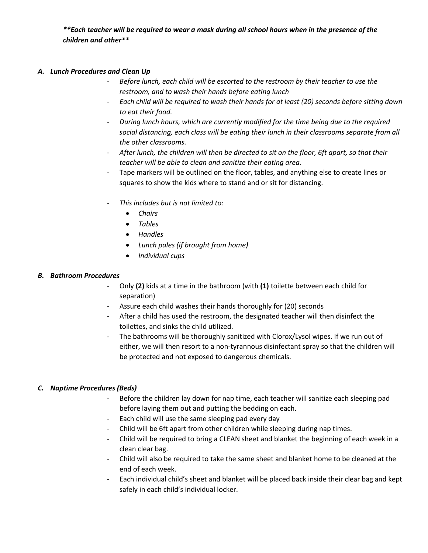*\*\*Each teacher will be required to wear a mask during all school hours when in the presence of the children and other\*\**

## *A. Lunch Procedures and Clean Up*

- *Before lunch, each child will be escorted to the restroom by their teacher to use the restroom, and to wash their hands before eating lunch*
- *Each child will be required to wash their hands for at least (20) seconds before sitting down to eat their food.*
- *During lunch hours, which are currently modified for the time being due to the required social distancing, each class will be eating their lunch in their classrooms separate from all the other classrooms.*
- *After lunch, the children will then be directed to sit on the floor, 6ft apart, so that their teacher will be able to clean and sanitize their eating area.*
- Tape markers will be outlined on the floor, tables, and anything else to create lines or squares to show the kids where to stand and or sit for distancing.
- *This includes but is not limited to:*
	- *Chairs*
	- *Tables*
	- *Handles*
	- *Lunch pales (if brought from home)*
	- *Individual cups*

#### *B. Bathroom Procedures*

- Only **(2)** kids at a time in the bathroom (with **(1)** toilette between each child for separation)
- Assure each child washes their hands thoroughly for (20) seconds
- After a child has used the restroom, the designated teacher will then disinfect the toilettes, and sinks the child utilized.
- The bathrooms will be thoroughly sanitized with Clorox/Lysol wipes. If we run out of either, we will then resort to a non-tyrannous disinfectant spray so that the children will be protected and not exposed to dangerous chemicals.

## *C. Naptime Procedures (Beds)*

- Before the children lay down for nap time, each teacher will sanitize each sleeping pad before laying them out and putting the bedding on each.
- Each child will use the same sleeping pad every day
- Child will be 6ft apart from other children while sleeping during nap times.
- Child will be required to bring a CLEAN sheet and blanket the beginning of each week in a clean clear bag.
- Child will also be required to take the same sheet and blanket home to be cleaned at the end of each week.
- Each individual child's sheet and blanket will be placed back inside their clear bag and kept safely in each child's individual locker.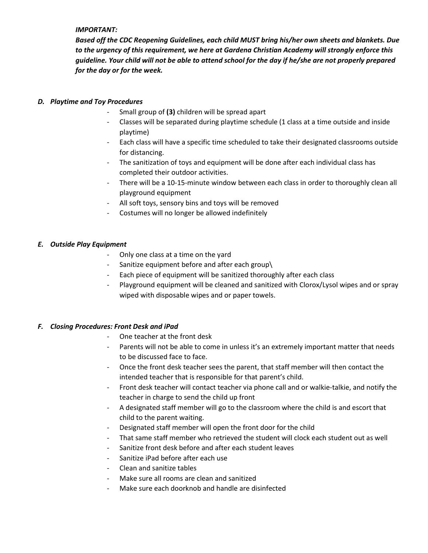#### *IMPORTANT:*

*Based off the CDC Reopening Guidelines, each child MUST bring his/her own sheets and blankets. Due to the urgency of this requirement, we here at Gardena Christian Academy will strongly enforce this guideline. Your child will not be able to attend school for the day if he/she are not properly prepared for the day or for the week.*

#### *D. Playtime and Toy Procedures*

- Small group of **(3)** children will be spread apart
- Classes will be separated during playtime schedule (1 class at a time outside and inside playtime)
- Each class will have a specific time scheduled to take their designated classrooms outside for distancing.
- The sanitization of toys and equipment will be done after each individual class has completed their outdoor activities.
- There will be a 10-15-minute window between each class in order to thoroughly clean all playground equipment
- All soft toys, sensory bins and toys will be removed
- Costumes will no longer be allowed indefinitely

#### *E. Outside Play Equipment*

- Only one class at a time on the yard
- Sanitize equipment before and after each group\
- Each piece of equipment will be sanitized thoroughly after each class
- Playground equipment will be cleaned and sanitized with Clorox/Lysol wipes and or spray wiped with disposable wipes and or paper towels.

## *F. Closing Procedures: Front Desk and iPad*

- One teacher at the front desk
- Parents will not be able to come in unless it's an extremely important matter that needs to be discussed face to face.
- Once the front desk teacher sees the parent, that staff member will then contact the intended teacher that is responsible for that parent's child.
- Front desk teacher will contact teacher via phone call and or walkie-talkie, and notify the teacher in charge to send the child up front
- A designated staff member will go to the classroom where the child is and escort that child to the parent waiting.
- Designated staff member will open the front door for the child
- That same staff member who retrieved the student will clock each student out as well
- Sanitize front desk before and after each student leaves
- Sanitize iPad before after each use
- Clean and sanitize tables
- Make sure all rooms are clean and sanitized
- Make sure each doorknob and handle are disinfected